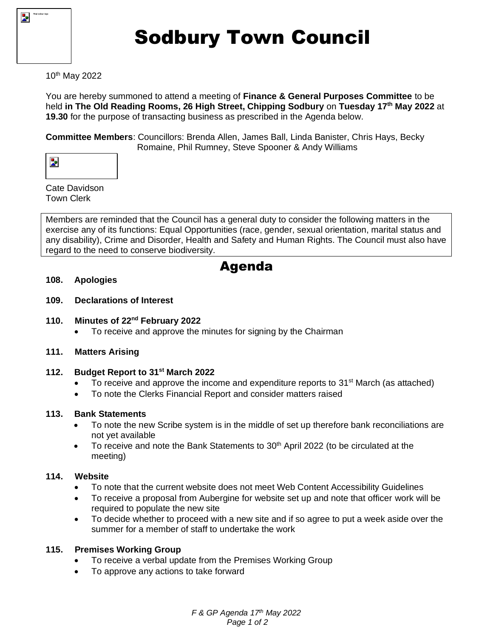

# Sodbury Town Council

# 10th May 2022

You are hereby summoned to attend a meeting of **Finance & General Purposes Committee** to be held **in The Old Reading Rooms, 26 High Street, Chipping Sodbury** on **Tuesday 17th May 2022** at **19.30** for the purpose of transacting business as prescribed in the Agenda below.

**Committee Members**: Councillors: Brenda Allen, James Ball, Linda Banister, Chris Hays, Becky Romaine, Phil Rumney, Steve Spooner & Andy Williams

Cate Davidson Town Clerk

Members are reminded that the Council has a general duty to consider the following matters in the exercise any of its functions: Equal Opportunities (race, gender, sexual orientation, marital status and any disability), Crime and Disorder, Health and Safety and Human Rights. The Council must also have regard to the need to conserve biodiversity.

# Agenda

#### **108. Apologies**

#### **109. Declarations of Interest**

- **110. Minutes of 22nd February 2022**
	- To receive and approve the minutes for signing by the Chairman
- **111. Matters Arising**

## **112. Budget Report to 31st March 2022**

- To receive and approve the income and expenditure reports to  $31<sup>st</sup>$  March (as attached)
- To note the Clerks Financial Report and consider matters raised

#### **113. Bank Statements**

- To note the new Scribe system is in the middle of set up therefore bank reconciliations are not yet available
- $\bullet$  To receive and note the Bank Statements to 30<sup>th</sup> April 2022 (to be circulated at the meeting)

#### **114. Website**

- To note that the current website does not meet Web Content Accessibility Guidelines
- To receive a proposal from Aubergine for website set up and note that officer work will be required to populate the new site
- To decide whether to proceed with a new site and if so agree to put a week aside over the summer for a member of staff to undertake the work

## **115. Premises Working Group**

- To receive a verbal update from the Premises Working Group
- To approve any actions to take forward